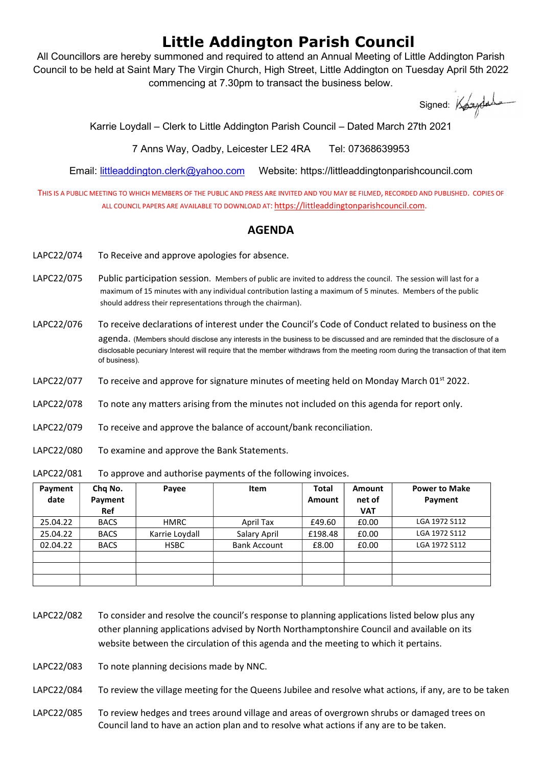## Little Addington Parish Council

All Councillors are hereby summoned and required to attend an Annual Meeting of Little Addington Parish Council to be held at Saint Mary The Virgin Church, High Street, Little Addington on Tuesday April 5th 2022 commencing at 7.30pm to transact the business below.

Signed: Kogydads

Karrie Loydall – Clerk to Little Addington Parish Council – Dated March 27th 2021

7 Anns Way, Oadby, Leicester LE2 4RA Tel: 07368639953

Email: littleaddington.clerk@yahoo.com Website: https://littleaddingtonparishcouncil.com

THIS IS A PUBLIC MEETING TO WHICH MEMBERS OF THE PUBLIC AND PRESS ARE INVITED AND YOU MAY BE FILMED, RECORDED AND PUBLISHED. COPIES OF ALL COUNCIL PAPERS ARE AVAILABLE TO DOWNLOAD AT: https://littleaddingtonparishcouncil.com.

## AGENDA

- LAPC22/074 To Receive and approve apologies for absence.
- LAPC22/075 Public participation session. Members of public are invited to address the council. The session will last for a maximum of 15 minutes with any individual contribution lasting a maximum of 5 minutes. Members of the public should address their representations through the chairman).
- LAPC22/076 To receive declarations of interest under the Council's Code of Conduct related to business on the agenda. (Members should disclose any interests in the business to be discussed and are reminded that the disclosure of a disclosable pecuniary Interest will require that the member withdraws from the meeting room during the transaction of that item of business).
- LAPC22/077 To receive and approve for signature minutes of meeting held on Monday March 01<sup>st</sup> 2022.
- LAPC22/078 To note any matters arising from the minutes not included on this agenda for report only.
- LAPC22/079 To receive and approve the balance of account/bank reconciliation.
- LAPC22/080 To examine and approve the Bank Statements.

LAPC22/081 To approve and authorise payments of the following invoices.

| Payment<br>date | Chq No.<br>Payment<br>Ref | Payee          | Item                | Total<br>Amount | <b>Amount</b><br>net of<br><b>VAT</b> | <b>Power to Make</b><br>Payment |
|-----------------|---------------------------|----------------|---------------------|-----------------|---------------------------------------|---------------------------------|
| 25.04.22        | <b>BACS</b>               | HMRC           | April Tax           | £49.60          | £0.00                                 | LGA 1972 S112                   |
| 25.04.22        | <b>BACS</b>               | Karrie Loydall | Salary April        | £198.48         | £0.00                                 | LGA 1972 S112                   |
| 02.04.22        | <b>BACS</b>               | <b>HSBC</b>    | <b>Bank Account</b> | £8.00           | £0.00                                 | LGA 1972 S112                   |
|                 |                           |                |                     |                 |                                       |                                 |
|                 |                           |                |                     |                 |                                       |                                 |
|                 |                           |                |                     |                 |                                       |                                 |

- LAPC22/082 To consider and resolve the council's response to planning applications listed below plus any other planning applications advised by North Northamptonshire Council and available on its website between the circulation of this agenda and the meeting to which it pertains.
- LAPC22/083 To note planning decisions made by NNC.

LAPC22/084 To review the village meeting for the Queens Jubilee and resolve what actions, if any, are to be taken

LAPC22/085 To review hedges and trees around village and areas of overgrown shrubs or damaged trees on Council land to have an action plan and to resolve what actions if any are to be taken.